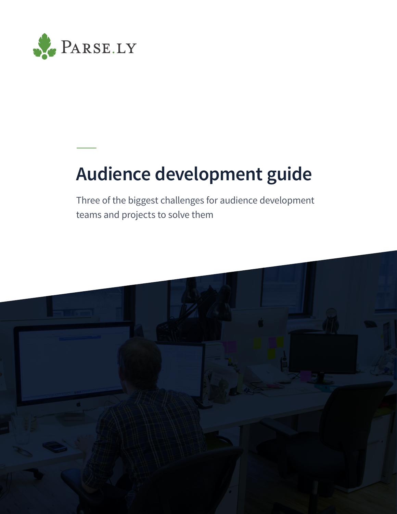

# **Audience development guide**

Three of the biggest challenges for audience development teams and projects to solve them

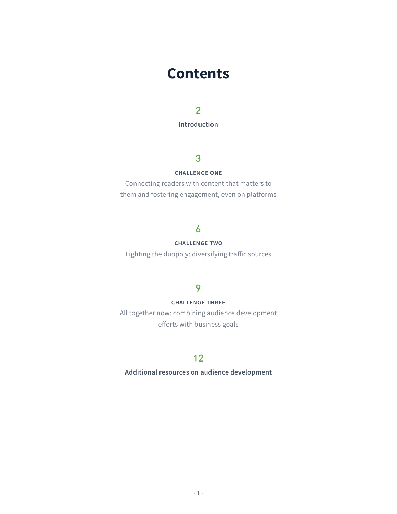## **Contents**

**Additional resources on audience development**

**[Introduction](#page-2-0)**

#### **challenge one**

Connecting readers with content that matters to them and fostering engagement, even on platforms

#### **challenge two**

Fighting the duopoly: diversifying traffic sources

#### **challenge three**

All together now: combining audience development efforts with business goals

#### 2

### 3

#### 6

9

### 12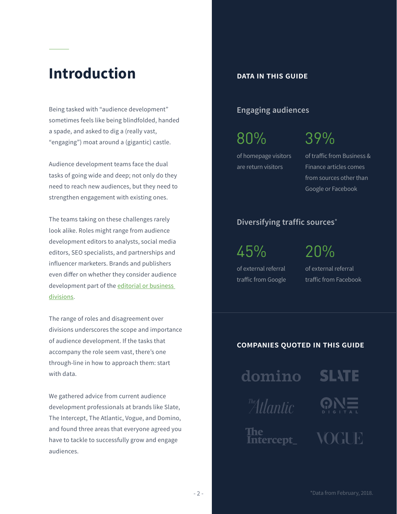## <span id="page-2-0"></span>**Introduction**

Being tasked with "audience development" sometimes feels like being blindfolded, handed a spade, and asked to dig a (really vast, "engaging") moat around a (gigantic) castle.

The teams taking on these challenges rarely look alike. Roles might range from audience development editors to analysts, social media editors, SEO specialists, and partnerships and influencer marketers. Brands and publishers even differ on whether they consider audience development part of the editorial or business

Audience development teams face the dual tasks of going wide and deep; not only do they need to reach new audiences, but they need to strengthen engagement with existing ones.

[divisions.](https://digiday.com/media/audience-development-grows-publishers-question/)

# **companies quoted in this guideSLATE** domino The Atlantic **The** VOGUE Intercept\_

The range of roles and disagreement over divisions underscores the scope and importance of audience development. If the tasks that accompany the role seem vast, there's one through-line in how to approach them: start with data.

We gathered advice from current audience development professionals at brands like Slate, The Intercept, The Atlantic, Vogue, and Domino, and found three areas that everyone agreed you have to tackle to successfully grow and engage audiences.

80% 39%

45%

of traffic from Business & Finance articles comes from sources other than Google or Facebook

of homepage visitors are return visitors

of external referral traffic from Google 20%

of external referral traffic from Facebook

#### **Engaging audiences**

#### **Diversifying traffic sources**\*

#### **data in this guide**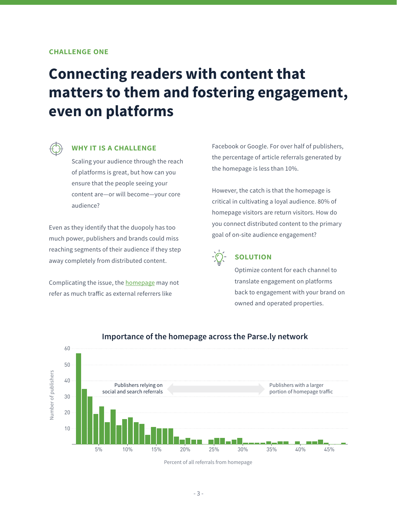#### **why it is a challenge**

Scaling your audience through the reach of platforms is great, but how can you ensure that the people seeing your content are—or will become—your core audience?

Even as they identify that the duopoly has too much power, publishers and brands could miss reaching segments of their audience if they step away completely from distributed content.

Complicating the issue, the **homepage** may not

## **Connecting readers with content that matters to them and fostering engagement, even on platforms**



Facebook or Google. For over half of publishers, the percentage of article referrals generated by the homepage is less than 10%.

However, the catch is that the homepage is critical in cultivating a loyal audience. 80% of homepage visitors are return visitors. How do you connect distributed content to the primary goal of on-site audience engagement?

![](_page_3_Picture_9.jpeg)

### **solution**

Optimize content for each channel to translate engagement on platforms back to engagement with your brand on owned and operated properties.

#### **challenge one**

![](_page_3_Figure_13.jpeg)

### Importance of the homepage across the Parse.ly network

Percent of all referrals from homepage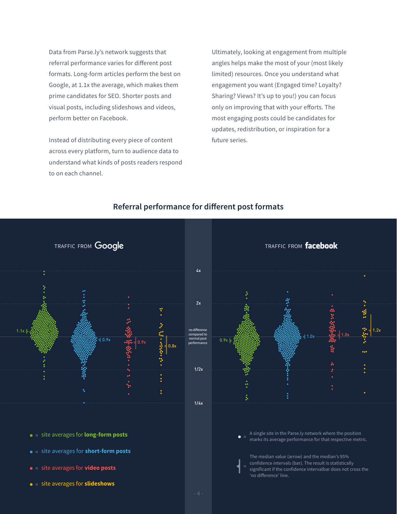Data from Parse.ly's network suggests that referral performance varies for different post formats. Long-form articles perform the best on Google, at 1.1x the average, which makes them prime candidates for SEO. Shorter posts and visual posts, including slideshows and videos, perform better on Facebook.

Instead of distributing every piece of content across every platform, turn to audience data to understand what kinds of posts readers respond to on each channel.

> A single site in the Parse.ly network where the position marks its average performance for that respective metric.  $\bullet =$

Ultimately, looking at engagement from multiple angles helps make the most of your (most likely limited) resources. Once you understand what engagement you want (Engaged time? Loyalty? Sharing? Views? It's up to you!) you can focus only on improving that with your efforts. The most engaging posts could be candidates for updates, redistribution, or inspiration for a future series.

![](_page_4_Figure_5.jpeg)

- = site averages for **long-form posts**
- = site averages for **short-form posts**
- = site averages for **video posts**
- = site averages for **slideshows**

![](_page_4_Figure_3.jpeg)

The median value (arrow) and the median's 95% confidence intervals (bar). The result is statistically significant if the confidence intervalbar does not cross the 'no difference' line. =

#### **Referral performance for different post formats**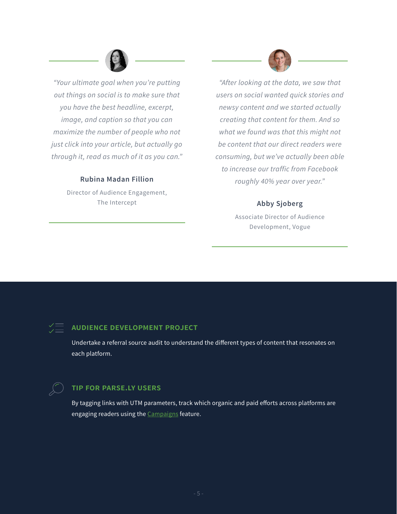*"Your ultimate goal when you're putting out things on social is to make sure that you have the best headline, excerpt, image, and caption so that you can maximize the number of people who not just click into your article, but actually go through it, read as much of it as you can."*

#### **Rubina Madan Fillion**

Director of Audience Engagement, The Intercept

![](_page_5_Picture_3.jpeg)

By tagging links with UTM parameters, track which organic and paid efforts across platforms are engaging readers using the **[Campaigns](https://blog.parse.ly/post/5777/campaign-tracking/)** feature.

*"After looking at the data, we saw that users on social wanted quick stories and newsy content and we started actually creating that content for them. And so what we found was that this might not be content that our direct readers were consuming, but we've actually been able to increase our traffic from Facebook roughly 40% year over year."*

#### **Abby Sjoberg**

Associate Director of Audience Development, Vogue

### **audience development project**

Undertake a referral source audit to understand the different types of content that resonates on each platform.

![](_page_5_Picture_9.jpeg)

#### **tip for parse.ly users**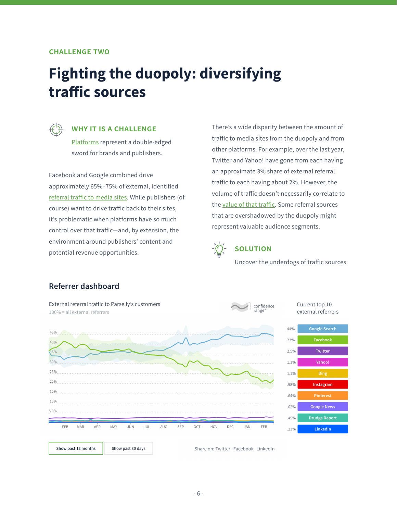#### **why it is a challenge**

[Platforms](https://blog.parse.ly/post/5925/platforms-publishers-complicated/) represent a double-edged sword for brands and publishers.

Facebook and Google combined drive approximately 65%–75% of external, identified [referral traffic to media sites](https://www.parse.ly/resources/data-studies/referrer-dashboard/). While publishers (of course) want to drive traffic back to their sites, it's problematic when platforms have so much control over that traffic—and, by extension, the environment around publishers' content and potential revenue opportunities.

## **Fighting the duopoly: diversifying traffic sources**

![](_page_6_Picture_2.jpeg)

There's a wide disparity between the amount of traffic to media sites from the duopoly and from other platforms. For example, over the last year, Twitter and Yahoo! have gone from each having an approximate 3% share of external referral traffic to each having about 2%. However, the volume of traffic doesn't necessarily correlate to the [value of that traffic.](https://digitalcontentnext.org/blog/2017/06/27/data-shows-article-pageviews-value-dont-correlate/) Some referral sources that are overshadowed by the duopoly might represent valuable audience segments.

![](_page_6_Picture_7.jpeg)

Uncover the underdogs of traffic sources.

#### **challenge two**

#### **Referrer dashboard**

![](_page_6_Figure_11.jpeg)

| Show past 12 months | Show past 30 days |  |
|---------------------|-------------------|--|
|---------------------|-------------------|--|

Share on: Twitter Facebook LinkedIn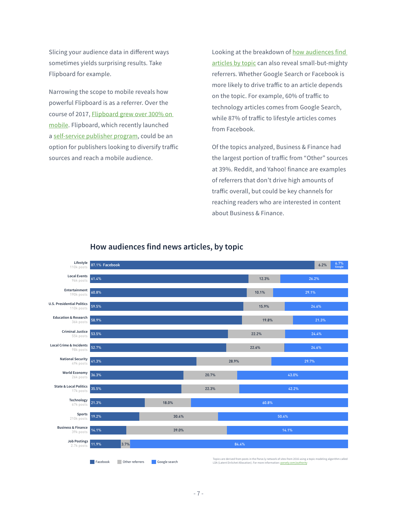Slicing your audience data in different ways sometimes yields surprising results. Take Flipboard for example.

Narrowing the scope to mobile reveals how powerful Flipboard is as a referrer. Over the course of 2017, [Flipboard grew over 300% on](https://digitalcontentnext.org/blog/2018/03/12/73-site-visitors-get-via-mobile-heres-guided-tour-mobile-landscape/)  [mobile.](https://digitalcontentnext.org/blog/2018/03/12/73-site-visitors-get-via-mobile-heres-guided-tour-mobile-landscape/) Flipboard, which recently launched a [self-service publisher program,](https://about.flipboard.com/newsroom/flipboard-launches-self-service-publisher-program-embracing-mobile-standards-and-promoting-the-best-of-the-mobile-web/) could be an option for publishers looking to diversify traffic sources and reach a mobile audience.

Looking at the breakdown of how audiences find [articles by topic](https://blog.parse.ly/post/5900/facebook-google-news-topic-referrers/) can also reveal small-but-mighty referrers. Whether Google Search or Facebook is more likely to drive traffic to an article depends on the topic. For example, 60% of traffic to technology articles comes from Google Search, while 87% of traffic to lifestyle articles comes from Facebook.

Of the topics analyzed, Business & Finance had the largest portion of traffic from "Other" sources at 39%. Reddit, and Yahoo! finance are examples of referrers that don't drive high amounts of traffic overall, but could be key channels for reaching readers who are interested in content about Business & Finance.

#### **How audiences find news articles, by topic**

| <b>FURNI MULLUMATIV</b><br>190k posts           | 60.8%    |                 |                                                                                                                                                                                                                     |       |       | 10.1% |  | 29.1% |  |
|-------------------------------------------------|----------|-----------------|---------------------------------------------------------------------------------------------------------------------------------------------------------------------------------------------------------------------|-------|-------|-------|--|-------|--|
| <b>U.S. Presidential Politics</b><br>110k posts | 59.5%    |                 |                                                                                                                                                                                                                     |       |       | 15.9% |  | 24.6% |  |
| <b>Education &amp; Research</b><br>36k posts    | 58.9%    |                 |                                                                                                                                                                                                                     |       |       | 19.8% |  | 21.3% |  |
| <b>Criminal Justice</b><br>55k posts            | 53.5%    |                 |                                                                                                                                                                                                                     |       |       | 22.2% |  | 24.4% |  |
| <b>Local Crime &amp; Incidents</b><br>98k posts | 52.7%    |                 |                                                                                                                                                                                                                     |       |       | 22.6% |  | 24.6% |  |
| <b>National Security</b><br>49k posts           | 41.3%    |                 |                                                                                                                                                                                                                     |       | 28.9% |       |  | 29.7% |  |
| <b>World Economy</b><br>26k posts               | 36.3%    |                 |                                                                                                                                                                                                                     | 20.7% |       | 43.0% |  |       |  |
| <b>State &amp; Local Politics</b><br>17k posts  | 35.5%    |                 |                                                                                                                                                                                                                     | 22.3% |       | 42.2% |  |       |  |
| Technology<br>67k posts                         | 21.3%    |                 | 18.0%                                                                                                                                                                                                               |       | 60.8% |       |  |       |  |
| <b>Sports</b><br>210k posts                     | 19.2%    |                 | 30.4%                                                                                                                                                                                                               |       | 50.4% |       |  |       |  |
| <b>Business &amp; Finance</b><br>39k posts      | 14.1%    |                 | 39.0%                                                                                                                                                                                                               |       |       | 14.1% |  |       |  |
| <b>Job Postings</b><br>2.7k posts               | 11.9%    | 3.7%            |                                                                                                                                                                                                                     |       | 84.4% |       |  |       |  |
|                                                 | Facebook | Other referrers | Topics are derived from posts in the Parse.ly network of sites from 2016 using a topic modeling algorithm called<br>Google search<br>LDA (Latent Dirlichet Allocation). For more information: parsely.com/authority |       |       |       |  |       |  |

#### 87.1% **Facebook** 61.4% 12.3% 26.2% 6.2% 6.7% **Google Entertainment Local Events Lifestyle** 96k posts 110k posts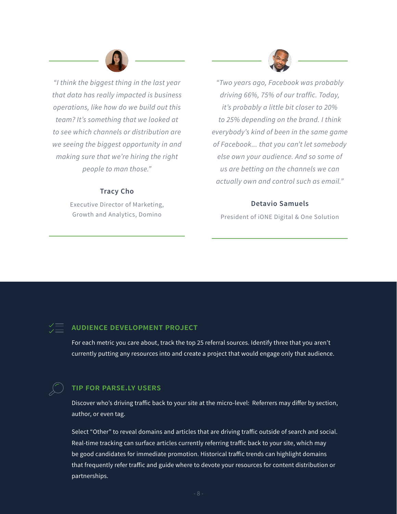*"I think the biggest thing in the last year that data has really impacted is business operations, like how do we build out this team? It's something that we looked at to see which channels or distribution are we seeing the biggest opportunity in and making sure that we're hiring the right people to man those."*

#### **Tracy Cho**

Executive Director of Marketing, Growth and Analytics, Domino

![](_page_8_Picture_3.jpeg)

*"Two years ago, Facebook was probably driving 66%, 75% of our traffic. Today, it's probably a little bit closer to 20% to 25% depending on the brand. I think everybody's kind of been in the same game of Facebook... that you can't let somebody else own your audience. And so some of us are betting on the channels we can actually own and control such as email."*

#### **Detavio Samuels**

President of iONE Digital & One Solution

### **audience development project**

For each metric you care about, track the top 25 referral sources. Identify three that you aren't currently putting any resources into and create a project that would engage only that audience.

![](_page_8_Picture_9.jpeg)

#### **tip for parse.ly users**

Discover who's driving traffic back to your site at the micro-level: Referrers may differ by section, author, or even tag.

Select "Other" to reveal domains and articles that are driving traffic outside of search and social. Real-time tracking can surface articles currently referring traffic back to your site, which may be good candidates for immediate promotion. Historical traffic trends can highlight domains that frequently refer traffic and guide where to devote your resources for content distribution or partnerships.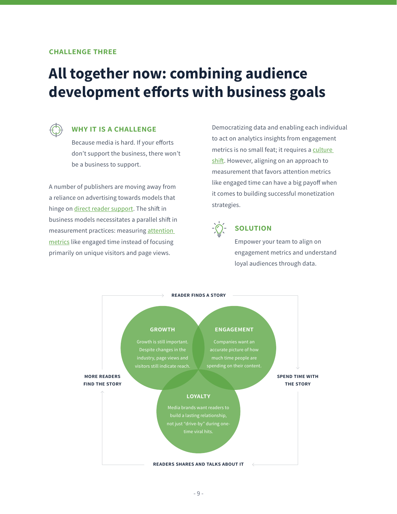#### **why it is a challenge**

Because media is hard. If your efforts don't support the business, there won't be a business to support.

A number of publishers are moving away from a reliance on advertising towards models that hinge on *direct reader support*. The shift in business models necessitates a parallel shift in measurement practices: measuring [attention](https://blog.parse.ly/post/6336/state-of-attention-analytics-editors-weigh-in/)  [metrics](https://blog.parse.ly/post/6336/state-of-attention-analytics-editors-weigh-in/) like engaged time instead of focusing primarily on unique visitors and page views.

## **All together now: combining audience development efforts with business goals**

![](_page_9_Picture_2.jpeg)

Democratizing data and enabling each individual to act on analytics insights from engagement metrics is no small feat; it requires a culture [shift](https://blog.parse.ly/post/5705/analytics-culture-shift-understanding-application/). However, aligning on an approach to measurement that favors attention metrics like engaged time can have a big payoff when it comes to building successful monetization strategies.

![](_page_9_Picture_7.jpeg)

### **solution**

Empower your team to align on engagement metrics and understand loyal audiences through data.

![](_page_9_Figure_10.jpeg)

#### **challenge three**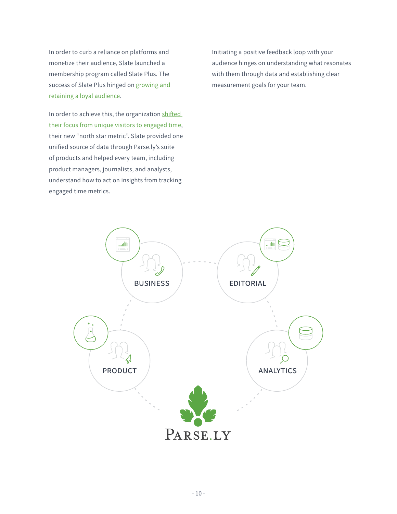In order to curb a reliance on platforms and monetize their audience, Slate launched a membership program called Slate Plus. The success of Slate Plus hinged on growing and [retaining a loyal audience](https://blog.parse.ly/post/6523/slate-picked-engaged-time-north-star-metric/).

In order to achieve this, the organization shifted [their focus from unique visitors to engaged time](https://www.parse.ly/resources/case-studies/slate/), their new "north star metric". Slate provided one unified source of data through Parse.ly's suite of products and helped every team, including product managers, journalists, and analysts, understand how to act on insights from tracking engaged time metrics.

Initiating a positive feedback loop with your audience hinges on understanding what resonates with them through data and establishing clear measurement goals for your team.

![](_page_10_Picture_3.jpeg)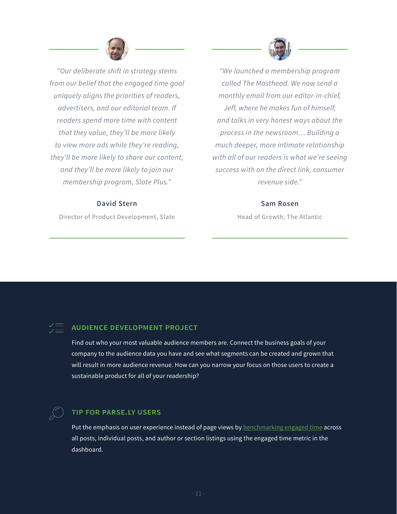*"Our deliberate shift in strategy stems from our belief that the engaged time goal uniquely aligns the priorities of readers, advertisers, and our editorial team. If readers spend more time with content that they value, they'll be more likely to view more ads while they're reading, they'll be more likely to share our content, and they'll be more likely to join our membership program, Slate Plus."*

#### **David Stern**

Director of Product Development, Slate

![](_page_11_Picture_3.jpeg)

*"We launched a membership program called The Masthead. We now send a monthly email from our editor-in-chief, Jeff, where he makes fun of himself, and talks in very honest ways about the process in the newsroom… Building a much deeper, more intimate relationship with all of our readers is what we're seeing success with on the direct link, consumer revenue side."*

Put the emphasis on user experience instead of page views by **benchmarking engaged time** across all posts, individual posts, and author or section listings using the engaged time metric in the dashboard.

#### **Sam Rosen**

Head of Growth, The Atlantic

### **audience development project**

Find out who your most valuable audience members are. Connect the business goals of your company to the audience data you have and see what segments can be created and grown that will result in more audience revenue. How can you narrow your focus on those users to create a sustainable product for all of your readership?

### **tip for parse.ly users**